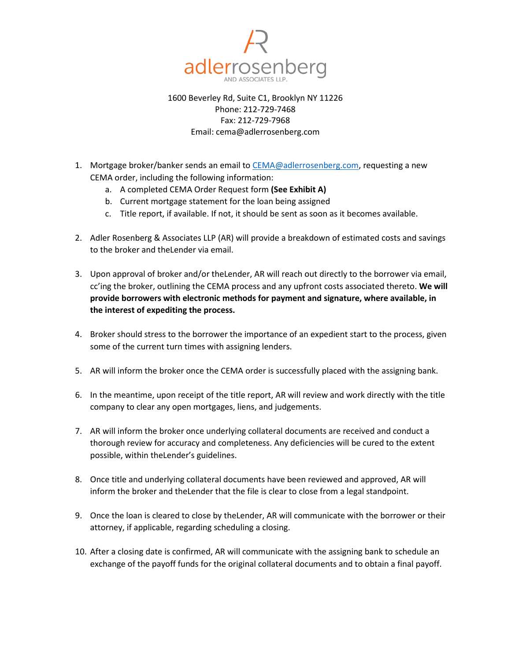

# 1600 Beverley Rd, Suite C1, Brooklyn NY 11226 Phone: 212-729-7468 Fax: 212-729-7968 Email: cema@adlerrosenberg.com

- 1. Mortgage broker/banker sends an email t[o CEMA@adlerrosenberg.com,](mailto:CEMA@adlerrosenberg.com) requesting a new CEMA order, including the following information:
	- a. A completed CEMA Order Request form **(See Exhibit A)**
	- b. Current mortgage statement for the loan being assigned
	- c. Title report, if available. If not, it should be sent as soon as it becomes available.
- 2. Adler Rosenberg & Associates LLP (AR) will provide a breakdown of estimated costs and savings to the broker and theLender via email.
- 3. Upon approval of broker and/or theLender, AR will reach out directly to the borrower via email, cc'ing the broker, outlining the CEMA process and any upfront costs associated thereto. **We will provide borrowers with electronic methods for payment and signature, where available, in the interest of expediting the process.**
- 4. Broker should stress to the borrower the importance of an expedient start to the process, given some of the current turn times with assigning lenders.
- 5. AR will inform the broker once the CEMA order is successfully placed with the assigning bank.
- 6. In the meantime, upon receipt of the title report, AR will review and work directly with the title company to clear any open mortgages, liens, and judgements.
- 7. AR will inform the broker once underlying collateral documents are received and conduct a thorough review for accuracy and completeness. Any deficiencies will be cured to the extent possible, within theLender's guidelines.
- 8. Once title and underlying collateral documents have been reviewed and approved, AR will inform the broker and theLender that the file is clear to close from a legal standpoint.
- 9. Once the loan is cleared to close by theLender, AR will communicate with the borrower or their attorney, if applicable, regarding scheduling a closing.
- 10. After a closing date is confirmed, AR will communicate with the assigning bank to schedule an exchange of the payoff funds for the original collateral documents and to obtain a final payoff.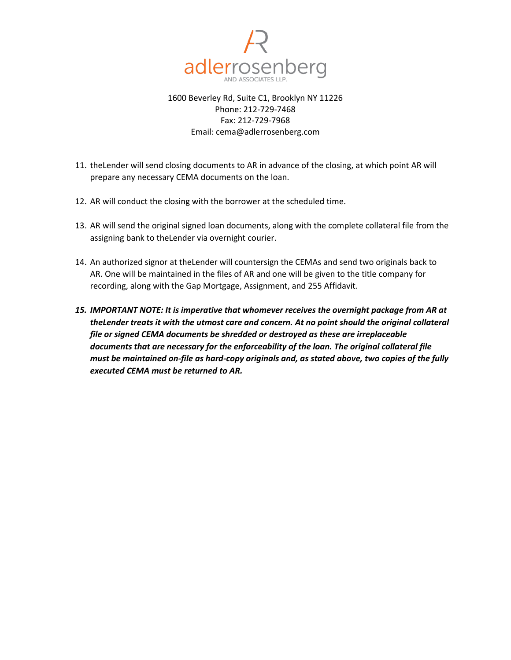

# 1600 Beverley Rd, Suite C1, Brooklyn NY 11226 Phone: 212-729-7468 Fax: 212-729-7968 Email: cema@adlerrosenberg.com

- 11. theLender will send closing documents to AR in advance of the closing, at which point AR will prepare any necessary CEMA documents on the loan.
- 12. AR will conduct the closing with the borrower at the scheduled time.
- 13. AR will send the original signed loan documents, along with the complete collateral file from the assigning bank to theLender via overnight courier.
- 14. An authorized signor at theLender will countersign the CEMAs and send two originals back to AR. One will be maintained in the files of AR and one will be given to the title company for recording, along with the Gap Mortgage, Assignment, and 255 Affidavit.
- *15. IMPORTANT NOTE: It is imperative that whomever receives the overnight package from AR at theLender treats it with the utmost care and concern. At no point should the original collateral file or signed CEMA documents be shredded or destroyed as these are irreplaceable documents that are necessary for the enforceability of the loan. The original collateral file must be maintained on-file as hard-copy originals and, as stated above, two copies of the fully executed CEMA must be returned to AR.*